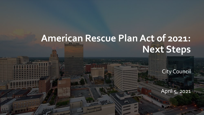# **American Rescue Plan Act of 2021: Next Steps**

mmm **COLORED IN HIIIIII** 

City Council

April 5, 2021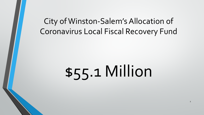## City of Winston-Salem's Allocation of Coronavirus Local Fiscal Recovery Fund

# \$55.1 Million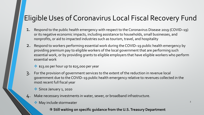#### Eligible Uses of Coronavirus Local Fiscal Recovery Fund

- 1. Respond to the public health emergency with respect to the Coronavirus Disease 2019 (COVID–19) or its negative economic impacts, including assistance to households, small businesses, and nonprofits, or aid to impacted industries such as tourism, travel, and hospitality
- 2. Respond to workers performing essential work during the COVID–19 public health emergency by providing premium pay to eligible workers of the local government that are performing such essential work, or by providing grants to eligible employers that have eligible workers who perform essential work
	- $\cdot$  \$13.00 per hour up to \$25,000 per year
- 3. For the provision of government services to the extent of the reduction in revenue local government due to the COVID–19 public health emergency relative to revenues collected in the most recent full fiscal year

**Since January 1, 2020** 

- 4. Make necessary investments in water, sewer, or broadband infrastructure.
	- **◆ May include stormwater**

**Still waiting on specific guidance from the U.S. Treasury Department**

3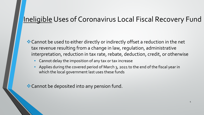#### Ineligible Uses of Coronavirus Local Fiscal Recovery Fund

\* Cannot be used to either directly or indirectly offset a reduction in the net tax revenue resulting from a change in law, regulation, administrative interpretation, reduction in tax rate, rebate, deduction, credit, or otherwise

- Cannot delay the imposition of any tax or tax increase
- Applies during the covered period of March 3, 2021 to the end of the fiscal year in which the local government last uses these funds

**Cannot be deposited into any pension fund.**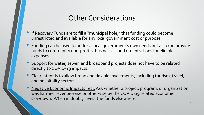#### Other Considerations

- If Recovery Funds are to fill a "municipal hole," that funding could become unrestricted and available for any local government cost or purpose.
- Funding can be used to address local government's own needs but also can provide funds to community non-profits, businesses, and organizations for eligible expenses.
- Support for water, sewer, and broadband projects does not have to be related directly to COVID-19 impacts.
- Clear intent is to allow broad and flexible investments, including tourism, travel, and hospitality sectors.
- Negative Economic Impacts Test: Ask whether a project, program, or organization was harmed revenue-wise or otherwise by the COVID-19 related economic slowdown. When in doubt, invest the funds elsewhere.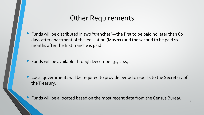#### Other Requirements

• Funds will be distributed in two "tranches"—the first to be paid no later than 60 days after enactment of the legislation (May 11) and the second to be paid 12 months after the first tranche is paid.

• Funds will be available through December 31, 2024.

• Local governments will be required to provide periodic reports to the Secretary of the Treasury.

• Funds will be allocated based on the most recent data from the Census Bureau. 6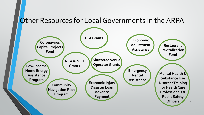#### Other Resources for Local Governments in the ARPA

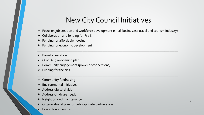#### New City Council Initiatives

 $\triangleright$  Focus on job creation and workforce development (small businesses; travel and tourism industry)

 $\Box$  . The contribution of the contribution of the contribution of the contribution of the contribution of the contribution of the contribution of the contribution of the contribution of the contribution of the contributi

\_\_\_\_\_\_\_\_\_\_\_\_\_\_\_\_\_\_\_\_\_\_\_\_\_\_\_\_\_\_\_\_\_\_\_\_\_\_\_\_\_\_\_\_\_\_\_\_\_\_\_\_\_\_\_\_\_\_\_\_\_\_\_\_\_\_\_\_\_\_\_\_\_\_\_\_\_\_\_\_\_\_\_\_

- $\triangleright$  Collaboration and funding for Pre-K
- $\triangleright$  Funding for affordable housing
- $\triangleright$  Funding for economic development
- $\triangleright$  Poverty cessation
- $\triangleright$  COVID-19 re-opening plan
- $\triangleright$  Community engagement (power of connections)
- $\triangleright$  Funding for the arts
- $\triangleright$  Community fundraising
- Environmental initiatives
- $\triangleright$  Address digital divide
- $\triangleright$  Address childcare needs
- Neighborhood maintenance
- Organizational plan for public-private partnerships
- Law enforcement reform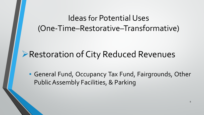## **Example 2 Restoration of City Reduced Revenues**

• General Fund, Occupancy Tax Fund, Fairgrounds, Other PublicAssembly Facilities, & Parking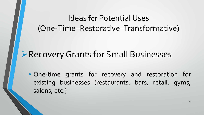## **Recovery Grants for Small Businesses**

• One-time grants for recovery and restoration for existing businesses (restaurants, bars, retail, gyms, salons, etc.)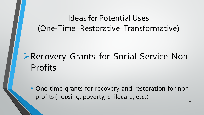# **Execovery Grants for Social Service Non-**Profits

• One-time grants for recovery and restoration for nonprofits (housing, poverty, childcare, etc.)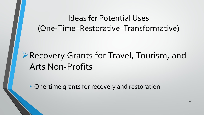# Recovery Grants for Travel, Tourism, and Arts Non-Profits

• One-time grants for recovery and restoration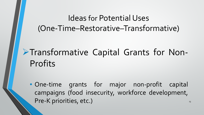# **Transformative Capital Grants for Non-**Profits

• One-time grants for major non-profit capital campaigns (food insecurity, workforce development, Pre-K priorities, etc.) The state of the state of the state of the state of the state of the state of the state of the state of the state of the state of the state of the state of the state of the state of the state of the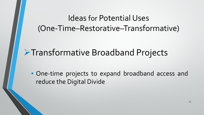## **>Transformative Broadband Projects**

• One-time projects to expand broadband access and reduce the Digital Divide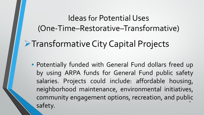# **Transformative City Capital Projects**

• Potentially funded with General Fund dollars freed up by using ARPA funds for General Fund public safety salaries. Projects could include: affordable housing, neighborhood maintenance, environmental initiatives, community engagement options, recreation, and public safety.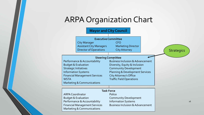#### ARPA Organization Chart

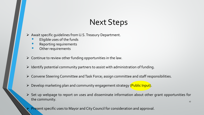#### Next Steps

 $\triangleright$  Await specific guidelines from U.S. Treasury Department.

- Eligible uses of the funds
- Reporting requirements
- Other requirements
- $\triangleright$  Continue to review other funding opportunities in the law.
- $\triangleright$  Identify potential community partners to assist with administration of funding.
- $\triangleright$  Convene Steering Committee and Task Force; assign committee and staff responsibilities.
- $\triangleright$  Develop marketing plan and community engagement strategy (Public Input).
- $\triangleright$  Set up webpage to report on uses and disseminate information about other grant opportunities for the community.
	- Present specific uses to Mayor and City Council for consideration and approval.